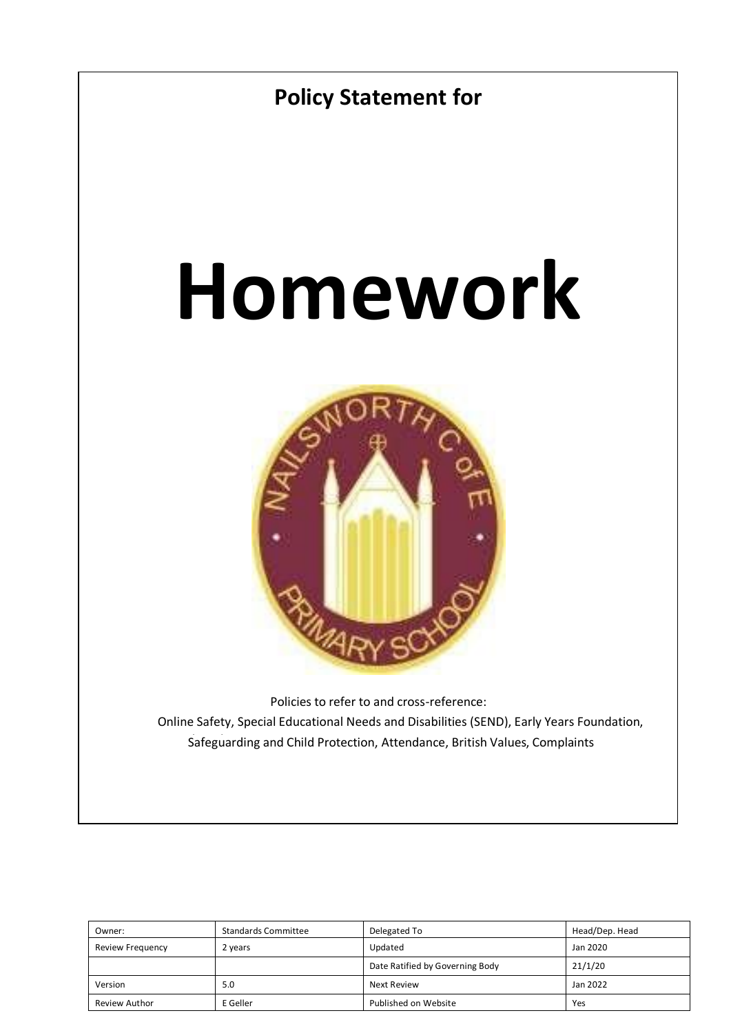

| Owner:               | <b>Standards Committee</b> | Delegated To                    | Head/Dep. Head |
|----------------------|----------------------------|---------------------------------|----------------|
| Review Frequency     | 2 years                    | Updated                         | Jan 2020       |
|                      |                            | Date Ratified by Governing Body | 21/1/20        |
| Version              | 5.0                        | Next Review                     | Jan 2022       |
| <b>Review Author</b> | E Geller                   | Published on Website            | Yes            |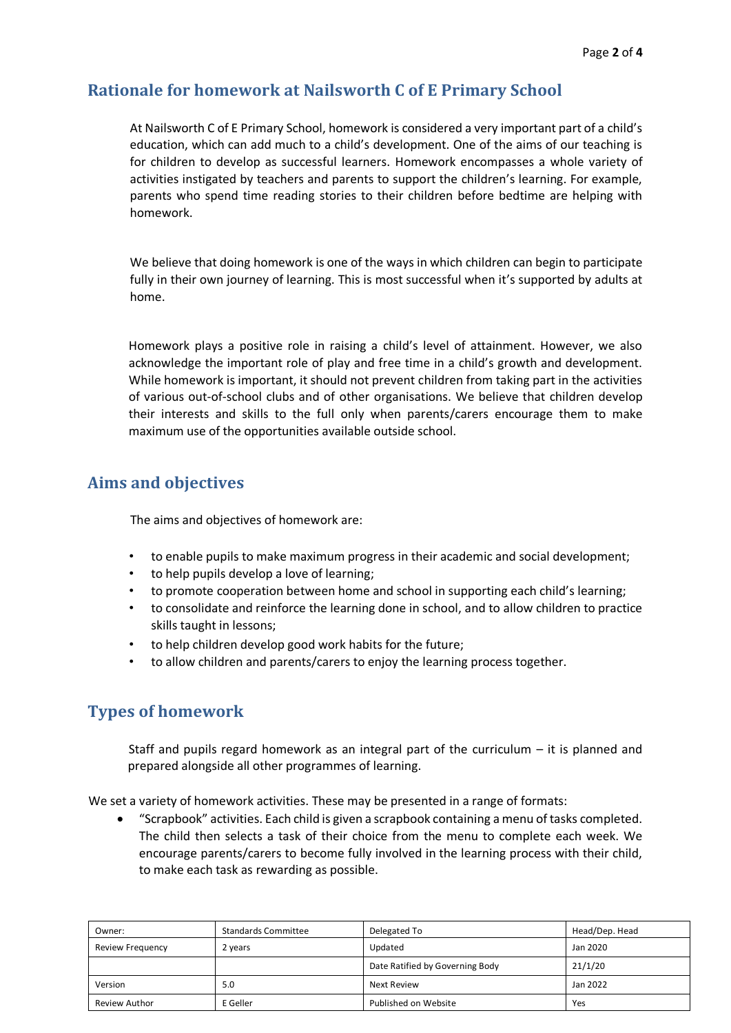## **Rationale for homework at Nailsworth C of E Primary School**

At Nailsworth C of E Primary School, homework is considered a very important part of a child's education, which can add much to a child's development. One of the aims of our teaching is for children to develop as successful learners. Homework encompasses a whole variety of activities instigated by teachers and parents to support the children's learning. For example, parents who spend time reading stories to their children before bedtime are helping with homework.

We believe that doing homework is one of the ways in which children can begin to participate fully in their own journey of learning. This is most successful when it's supported by adults at home.

Homework plays a positive role in raising a child's level of attainment. However, we also acknowledge the important role of play and free time in a child's growth and development. While homework is important, it should not prevent children from taking part in the activities of various out-of-school clubs and of other organisations. We believe that children develop their interests and skills to the full only when parents/carers encourage them to make maximum use of the opportunities available outside school.

# **Aims and objectives**

The aims and objectives of homework are:

- to enable pupils to make maximum progress in their academic and social development;
- to help pupils develop a love of learning;
- to promote cooperation between home and school in supporting each child's learning;
- to consolidate and reinforce the learning done in school, and to allow children to practice skills taught in lessons;
- to help children develop good work habits for the future;
- to allow children and parents/carers to enjoy the learning process together.

## **Types of homework**

Staff and pupils regard homework as an integral part of the curriculum – it is planned and prepared alongside all other programmes of learning.

We set a variety of homework activities. These may be presented in a range of formats:

• "Scrapbook" activities. Each child is given a scrapbook containing a menu of tasks completed. The child then selects a task of their choice from the menu to complete each week. We encourage parents/carers to become fully involved in the learning process with their child, to make each task as rewarding as possible.

| Owner:                  | <b>Standards Committee</b> | Delegated To                    | Head/Dep. Head |
|-------------------------|----------------------------|---------------------------------|----------------|
| <b>Review Frequency</b> | 2 years                    | Updated                         | Jan 2020       |
|                         |                            | Date Ratified by Governing Body | 21/1/20        |
| Version                 | 5.0                        | Next Review                     | Jan 2022       |
| Review Author           | E Geller                   | Published on Website            | Yes            |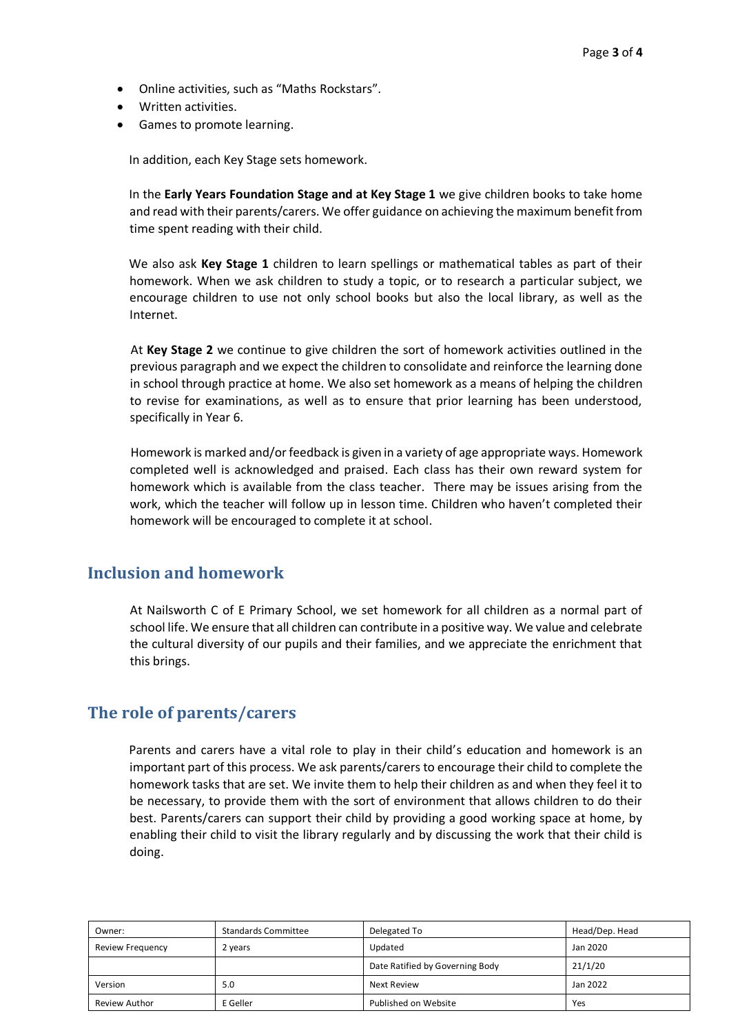- Online activities, such as "Maths Rockstars".
- Written activities.
- Games to promote learning.

In addition, each Key Stage sets homework.

In the **Early Years Foundation Stage and at Key Stage 1** we give children books to take home and read with their parents/carers. We offer guidance on achieving the maximum benefit from time spent reading with their child.

We also ask **Key Stage 1** children to learn spellings or mathematical tables as part of their homework. When we ask children to study a topic, or to research a particular subject, we encourage children to use not only school books but also the local library, as well as the Internet.

At **Key Stage 2** we continue to give children the sort of homework activities outlined in the previous paragraph and we expect the children to consolidate and reinforce the learning done in school through practice at home. We also set homework as a means of helping the children to revise for examinations, as well as to ensure that prior learning has been understood, specifically in Year 6.

Homework is marked and/or feedback is given in a variety of age appropriate ways. Homework completed well is acknowledged and praised. Each class has their own reward system for homework which is available from the class teacher. There may be issues arising from the work, which the teacher will follow up in lesson time. Children who haven't completed their homework will be encouraged to complete it at school.

### **Inclusion and homework**

At Nailsworth C of E Primary School, we set homework for all children as a normal part of school life. We ensure that all children can contribute in a positive way. We value and celebrate the cultural diversity of our pupils and their families, and we appreciate the enrichment that this brings.

### **The role of parents/carers**

Parents and carers have a vital role to play in their child's education and homework is an important part of this process. We ask parents/carers to encourage their child to complete the homework tasks that are set. We invite them to help their children as and when they feel it to be necessary, to provide them with the sort of environment that allows children to do their best. Parents/carers can support their child by providing a good working space at home, by enabling their child to visit the library regularly and by discussing the work that their child is doing.

| Owner:                  | <b>Standards Committee</b> | Delegated To                    | Head/Dep. Head |
|-------------------------|----------------------------|---------------------------------|----------------|
| <b>Review Frequency</b> | 2 years                    | Updated                         | Jan 2020       |
|                         |                            | Date Ratified by Governing Body | 21/1/20        |
| Version                 | 5.0                        | Next Review                     | Jan 2022       |
| Review Author           | E Geller                   | Published on Website            | Yes            |